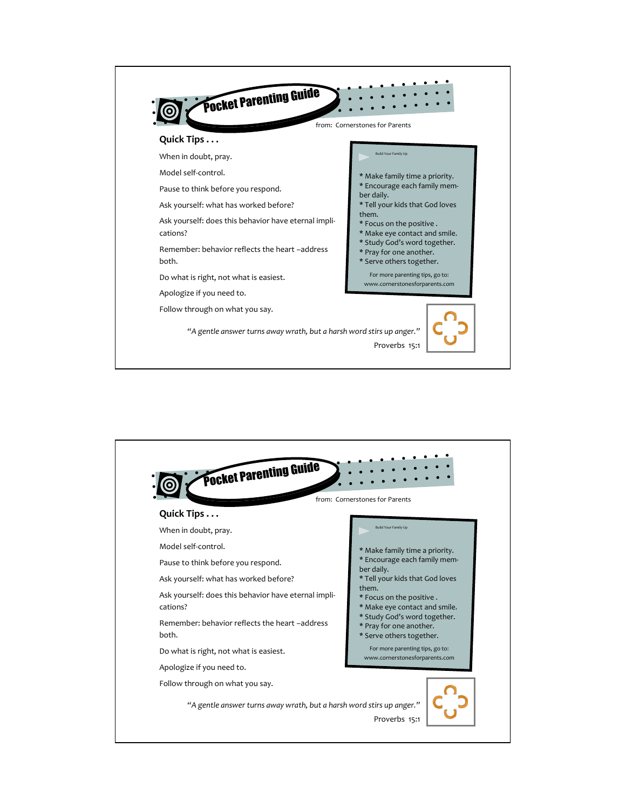